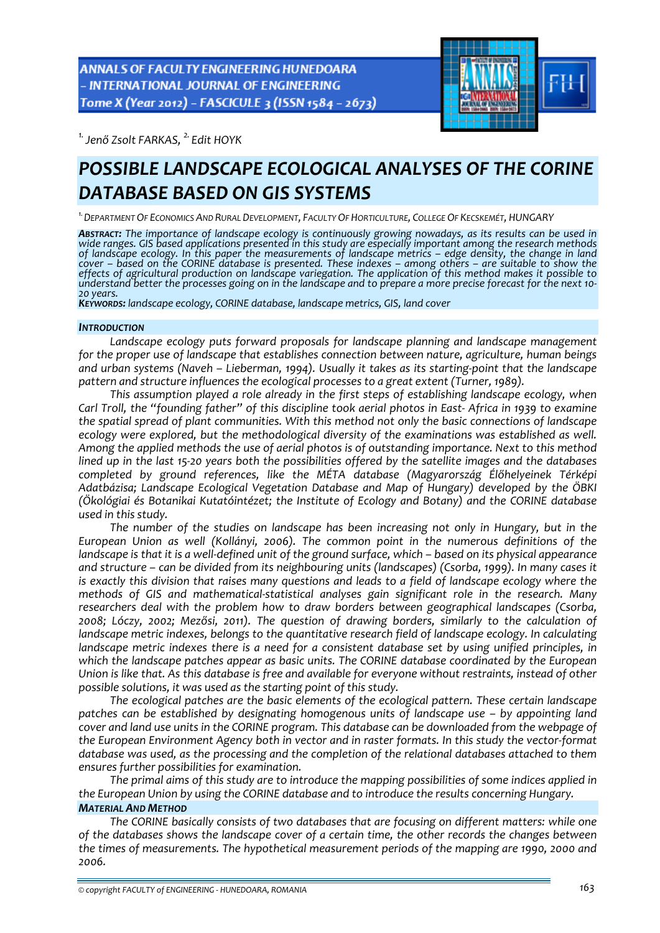**ANNALS OF FACULTY ENGINEERING HUNEDOARA** - INTERNATIONAL JOURNAL OF ENGINEERING Tome X (Year 2012) - FASCICULE 3 (ISSN 1584 - 2673)



*1.Jenő Zsolt FARKAS, 2. Edit HOYK* 

# *POSSIBLE LANDSCAPE ECOLOGICAL ANALYSES OF THE CORINE DATABASE BASED ON GIS SYSTEMS*

*1.DEPARTMENT OF ECONOMICS AND RURAL DEVELOPMENT, FACULTY OF HORTICULTURE, COLLEGE OF KECSKEMÉT, HUNGARY*

ABSTRACT: The importance of landscape ecology is continuously growing nowadays, as its results can be used in *wide ranges. GIS based applications presented in this study are especially important among the research methods* of landscape ecology. In this paper the measurements of landscape metrics – edge density, the change in land cover – based on the CORINE database is presented. These indexes – among others – are suitable to show the *effects of agricultural production on landscape variegation. The application of this method makes it possible to* understand better the processes going on in the landscape and to prepare a more precise forecast for the next 10-<br>20 years.<br>Keyworps: landscape ecology, CORINE database, landscape metrics, GIS, land cover

### *INTRODUCTION*

*Landscape ecology puts forward proposals for landscape planning and landscape management for the proper use of landscape that establishes connection between nature, agriculture, human beings* and urban systems (Naveh – Lieberman, 1994). Usually it takes as its starting-point that the landscape *pattern and structure influences the ecological processes to a great extent (Turner, 1989).*

*This assumption played a role already in the first steps of establishing landscape ecology, when* Carl Troll, the "founding father" of this discipline took aerial photos in East-Africa in 1939 to examine *the spatial spread of plant communities. With this method not only the basic connections of landscape ecology were explored, but the methodological diversity of the examinations was established as well. Among the applied methods the use of aerial photos is of outstanding importance. Next to this method* lined up in the last 15-20 years both the possibilities offered by the satellite images and the databases *completed by ground references, like the MÉTA database (Magyarország Élőhelyeinek Térképi Adatbázisa; Landscape Ecological Vegetation Database and Map of Hungary) developed by the ÖBKI (Ökológiai és Botanikai Kutatóintézet; the Institute of Ecology and Botany) and the CORINE database used in this study.*

*The number of the studies on landscape has been increasing not only in Hungary, but in the European Union as well (Kollányi, 2006). The common point in the numerous definitions of the* landscape is that it is a well-defined unit of the ground surface, which - based on its physical appearance *and structure – can be divided from its neighbouring units (landscapes) (Csorba, 1999). In many cases it* is exactly this division that raises many questions and leads to a field of landscape ecology where the *methods of GIS and mathematical‐statistical analyses gain significant role in the research. Many researchers deal with the problem how to draw borders between geographical landscapes (Csorba, 2008; Lóczy, 2002; Mezősi, 2011). The question of drawing borders, similarly to the calculation of landscape metric indexes, belongs to the quantitative research field of landscape ecology. In calculating landscape metric indexes there is a need for a consistent database set by using unified principles, in which the landscape patches appear as basic units. The CORINE database coordinated by the European* Union is like that. As this database is free and available for everyone without restraints, instead of other *possible solutions, it was used as the starting point of this study.*

*The ecological patches are the basic elements of the ecological pattern. These certain landscape patches can be established by designating homogenous units of landscape use – by appointing land* cover and land use units in the CORINE program. This database can be downloaded from the webpage of the European Environment Agency both in vector and in raster formats. In this study the vector-format *database was used, as the processing and the completion of the relational databases attached to them ensures further possibilities for examination.*

*The primal aims of this study are to introduce the mapping possibilities of some indices applied in the European Union by using the CORINE database and to introduce the results concerning Hungary. MATERIAL AND METHOD*

*The CORINE basically consists of two databases that are focusing on different matters: while one of the databases shows the landscape cover of a certain time, the other records the changes between the times of measurements. The hypothetical measurement periods of the mapping are 1990, 2000 and 2006.*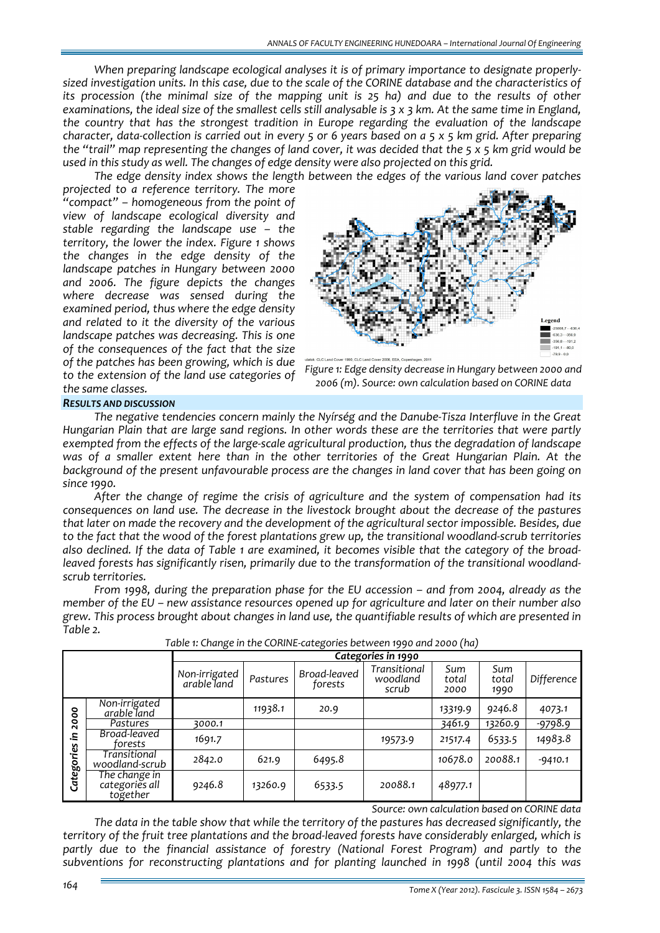*When preparing landscape ecological analyses it is of primary importance to designate properly‐* sized investigation units. In this case, due to the scale of the CORINE database and the characteristics of its procession (the minimal size of the mapping unit is 25 ha) and due to the results of other examinations, the ideal size of the smallest cells still analysable is  $3 \times 3$  km. At the same time in England, *the country that has the strongest tradition in Europe regarding the evaluation of the landscape* character, data-collection is carried out in every 5 or 6 years based on  $a$  5 x 5 km grid. After preparing the "trail" map representing the changes of land cover, it was decided that the 5 x 5 km grid would be *used in this study as well. The changes of edge density were also projected on this grid.*

*The edge density index shows the length between the edges of the various land cover patches*

*projected to a reference territory. The more "compact" – homogeneous from the point of view of landscape ecological diversity and stable regarding the landscape use – the territory, the lower the index. Figure 1 shows the changes in the edge density of the landscape patches in Hungary between 2000 and 2006. The figure depicts the changes where decrease was sensed during the examined period, thus where the edge density and related to it the diversity of the various landscape patches was decreasing. This is one of the consequences of the fact that the size of the patches has been growing, which is due to the extension of the land use categories of the same classes.*





# *RESULTS AND DISCUSSION*

*The negative tendencies concern mainly the Nyírség and the Danube‐Tisza Interfluve in the Great Hungarian Plain that are large sand regions. In other words these are the territories that were partly exempted from the effects of the large‐scale agricultural production, thus the degradation of landscape was of a smaller extent here than in the other territories of the Great Hungarian Plain. At the background of the present unfavourable process are the changes in land cover that has been going on since 1990.*

*After the change of regime the crisis of agriculture and the system of compensation had its consequences on land use. The decrease in the livestock brought about the decrease of the pastures that later on made the recovery and the development of the agricultural sector impossible. Besides, due* to the fact that the wood of the forest plantations grew up, the transitional woodland-scrub territories also declined. If the data of Table 1 are examined, it becomes visible that the category of the broad*leaved forests has significantly risen, primarily due to the transformation of the transitional woodland‐ scrub territories.*

*From 1998, during the preparation phase for the EU accession – and from 2004, already as the* member of the EU – new assistance resources opened up for agriculture and later on their number also *grew. This process brought about changes in land use, the quantifiable results of which are presented in Table 2.*

|                                          |                                             | Categories in 1990           |          |                         |                                   |                      |                      |            |
|------------------------------------------|---------------------------------------------|------------------------------|----------|-------------------------|-----------------------------------|----------------------|----------------------|------------|
|                                          |                                             | Non-irrigated<br>arable land | Pastures | Broad-leaved<br>forests | Transitional<br>woodland<br>scrub | Sum<br>total<br>2000 | Sum<br>total<br>1990 | Difference |
| ۰<br>۰<br>$\circ$<br>N<br><br>Categories | Non-irrigated<br>arable land                |                              | 11938.1  | 20.9                    |                                   | 13319.9              | 9246.8               | 4073.1     |
|                                          | Pastures                                    | 3000.1                       |          |                         |                                   | 3461.9               | 13260.9              | $-9798.9$  |
|                                          | Broad-leaved<br>torests                     | 1691.7                       |          |                         | 19573.9                           | 21517.4              | 6533.5               | 14983.8    |
|                                          | Transitional<br>woodland-scrub              | 2842.0                       | 621.9    | 6495.8                  |                                   | 10678.0              | 20088.1              | $-9410.1$  |
|                                          | The change in<br>categories all<br>together | 9246.8                       | 13260.9  | 6533.5                  | 20088.1                           | 48977.1              |                      |            |

*Table 1: Change in the CORINE‐categories between 1990 and 2000 (ha)*

*Source: own calculation based on CORINE data*

*The data in the table show that while the territory of the pastures has decreased significantly, the territory of the fruit tree plantations and the broad‐leaved forests have considerably enlarged, which is partly due to the financial assistance of forestry (National Forest Program) and partly to the subventions for reconstructing plantations and for planting launched in 1998 (until 2004 this was*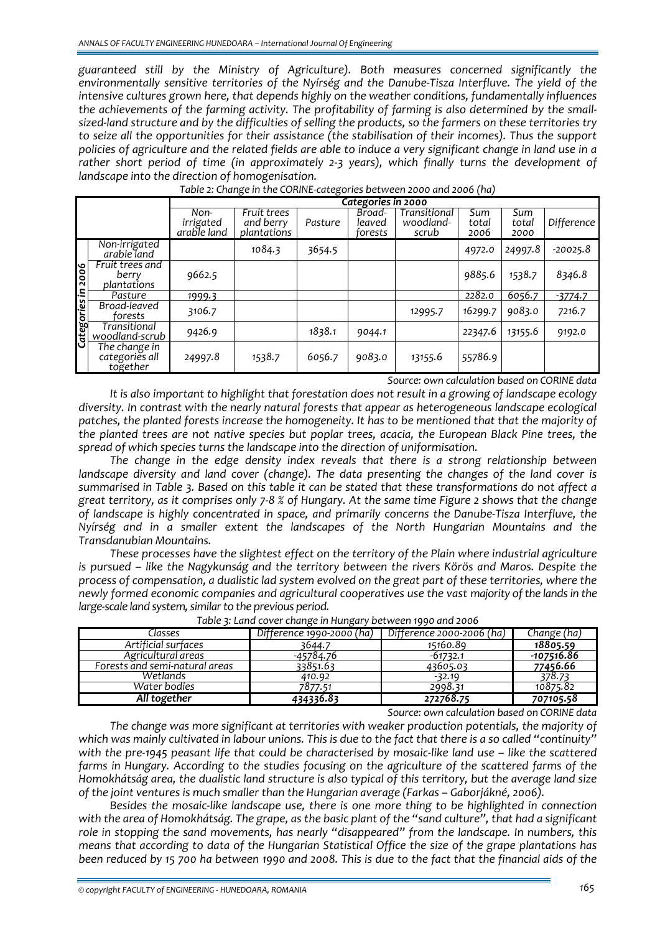*guaranteed still by the Ministry of Agriculture). Both measures concerned significantly the environmentally sensitive territories of the Nyírség and the Danube‐Tisza Interfluve. The yield of the intensive cultures grown here, that depends highly on the weather conditions, fundamentally influences the achievements of the farming activity. The profitability of farming is also determined by the small‐* sized-land structure and by the difficulties of selling the products, so the farmers on these territories try *to seize all the opportunities for their assistance (the stabilisation of their incomes). Thus the support* policies of agriculture and the related fields are able to induce a very significant change in land use in a *rather short period of time (in approximately 2‐3 years), which finally turns the development of landscape into the direction of homogenisation.*

|                    |                                             | Categories in 2000               |                                         |         |                             |                                    |                      |                      |            |
|--------------------|---------------------------------------------|----------------------------------|-----------------------------------------|---------|-----------------------------|------------------------------------|----------------------|----------------------|------------|
|                    |                                             | Non-<br>irrigated<br>arable land | Fruit trees<br>and berry<br>plantations | Pasture | Broad-<br>leaved<br>forests | Transitional<br>woodland-<br>scrub | Sum<br>total<br>2006 | Sum<br>total<br>2000 | Difference |
| Categories in 2006 | Non-irrigated<br>arable land                |                                  | 1084.3                                  | 3654.5  |                             |                                    | 4972.0               | 24997.8              | $-20025.8$ |
|                    | Fruit trees and<br>berry<br>plantations     | 9662.5                           |                                         |         |                             |                                    | 9885.6               | 1538.7               | 8346.8     |
|                    | Pasture                                     | 1999.3                           |                                         |         |                             |                                    | 2282.0               | 6056.7               | $-3774.7$  |
|                    | Broad-leaved<br>forests                     | 3106.7                           |                                         |         |                             | 12995.7                            | 16299.7              | 9083.0               | 7216.7     |
|                    | Transitional<br>woodland-scrub              | 9426.9                           |                                         | 1838.1  | 9044.1                      |                                    | 22347.6              | 13155.6              | 9192.0     |
|                    | The change in<br>categories all<br>together | 24997.8                          | 1538.7                                  | 6056.7  | 9083.0                      | 13155.6                            | 55786.9              |                      |            |

*Table 2: Change in the CORINE‐categories between 2000 and 2006 (ha)*

*Source: own calculation based on CORINE data*

*It is also important to highlight that forestation does not result in a growing of landscape ecology diversity. In contrast with the nearly natural forests that appear as heterogeneous landscape ecological patches, the planted forests increase the homogeneity. It has to be mentioned that that the majority of the planted trees are not native species but poplar trees, acacia, the European Black Pine trees, the spread of which species turns the landscape into the direction of uniformisation.*

*The change in the edge density index reveals that there is a strong relationship between landscape diversity and land cover (change). The data presenting the changes of the land cover is* summarised in Table 3. Based on this table it can be stated that these transformations do not affect a great territory, as it comprises only 7-8 % of Hungary. At the same time Figure 2 shows that the change *of landscape is highly concentrated in space, and primarily concerns the Danube‐Tisza Interfluve, the Nyírség and in a smaller extent the landscapes of the North Hungarian Mountains and the Transdanubian Mountains.*

*These processes have the slightest effect on the territory of the Plain where industrial agriculture is pursued – like the Nagykunság and the territory between the rivers Körös and Maros. Despite the process of compensation, a dualistic lad system evolved on the great part of these territories, where the newly formed economic companies and agricultural cooperatives use the vast majority ofthe landsin the large-scale land system, similar to the previous period.* 

|                                | ີ<br>້                    |                           |             |
|--------------------------------|---------------------------|---------------------------|-------------|
| Classes                        | Difference 1990-2000 (ha) | Difference 2000-2006 (ha) | Change (ha) |
| Artificial surfaces            | 3644.7                    | 15160.89                  | 18805.59    |
| Agricultural areas             | -45784.76                 | $-61732.1$                | -107516.86  |
| Forests and semi-natural areas | 33851.63                  | 43605.03                  | 77456.66    |
| Wetlands                       | 410.92                    | $-32.19$                  | 378.73      |
| Water bodies                   | 7877.51                   | 2998.31                   | 10875.82    |
| All together                   | 434336.83                 | 272768.75                 | 707105.58   |

*Table 3: Land cover change in Hungary between 1990 and 2006*

*Source: own calculation based on CORINE data*

*The change was more significant at territories with weaker production potentials, the majority of* which was mainly cultivated in labour unions. This is due to the fact that there is a so called "continuity" with the pre-1945 peasant life that could be characterised by mosaic-like land use – like the scattered *farms in Hungary. According to the studies focusing on the agriculture of the scattered farms of the* Homokhátság area, the dualistic land structure is also typical of this territory, but the average land size *of the joint ventures is much smaller than the Hungarian average (Farkas – Gaborjákné, 2006).*

*Besides the mosaic‐like landscape use, there is one more thing to be highlighted in connection* with the area of Homokhátság. The grape, as the basic plant of the "sand culture", that had a significant *role in stopping the sand movements, has nearly "disappeared" from the landscape. In numbers, this means that according to data of the Hungarian Statistical Office the size of the grape plantations has* been reduced by 15 700 ha between 1990 and 2008. This is due to the fact that the financial aids of the